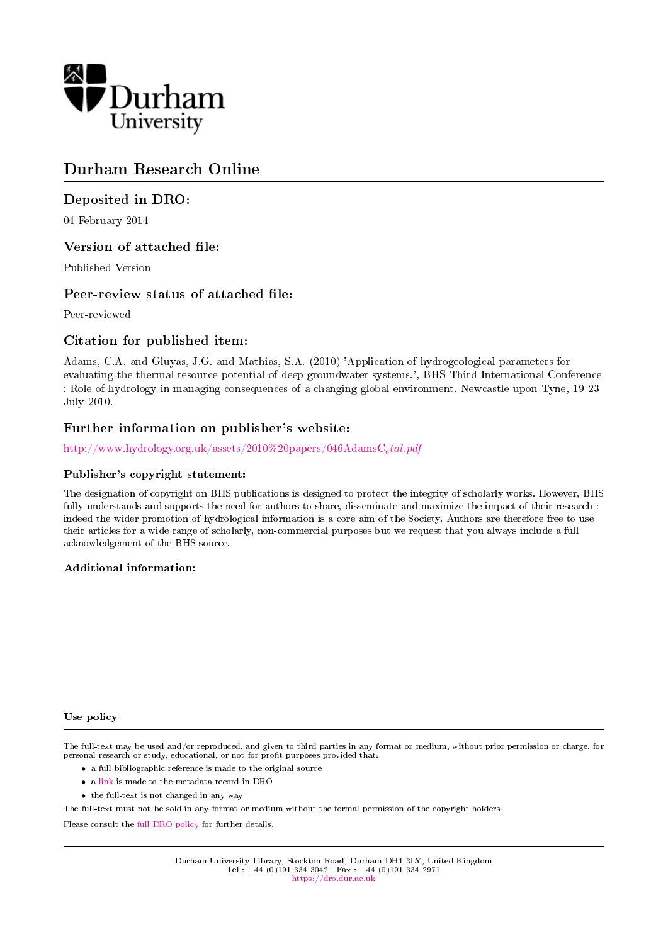

# Durham Research Online

# Deposited in DRO:

04 February 2014

# Version of attached file:

Published Version

# Peer-review status of attached file:

Peer-reviewed

# Citation for published item:

Adams, C.A. and Gluyas, J.G. and Mathias, S.A. (2010) 'Application of hydrogeological parameters for evaluating the thermal resource potential of deep groundwater systems.', BHS Third International Conference : Role of hydrology in managing consequences of a changing global environment. Newcastle upon Tyne, 19-23 July 2010.

# Further information on publisher's website:

[http://www.hydrology.org.uk/assets/2010%20papers/046AdamsC](http://www.hydrology.org.uk/assets/2010%20papers/046AdamsC_etal.pdf)<sub>e</sub>tal.pdf

## Publisher's copyright statement:

The designation of copyright on BHS publications is designed to protect the integrity of scholarly works. However, BHS fully understands and supports the need for authors to share, disseminate and maximize the impact of their research : indeed the wider promotion of hydrological information is a core aim of the Society. Authors are therefore free to use their articles for a wide range of scholarly, non-commercial purposes but we request that you always include a full acknowledgement of the BHS source.

## Additional information:

### Use policy

The full-text may be used and/or reproduced, and given to third parties in any format or medium, without prior permission or charge, for personal research or study, educational, or not-for-profit purposes provided that:

- a full bibliographic reference is made to the original source
- a [link](http://dro.dur.ac.uk/11710/) is made to the metadata record in DRO
- the full-text is not changed in any way

The full-text must not be sold in any format or medium without the formal permission of the copyright holders.

Please consult the [full DRO policy](https://dro.dur.ac.uk/policies/usepolicy.pdf) for further details.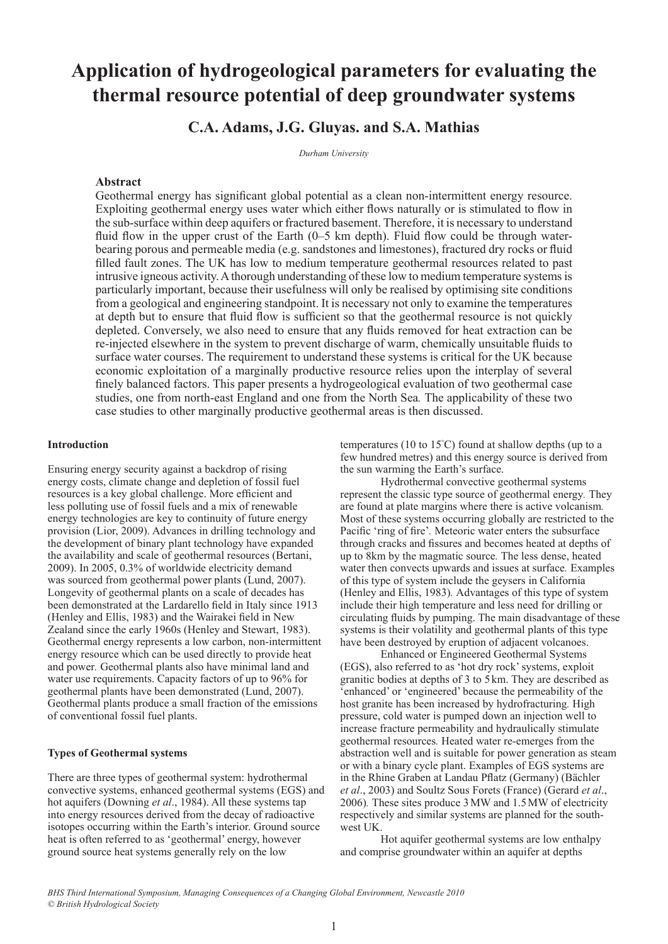# **Application of hydrogeological parameters for evaluating the thermal resource potential of deep groundwater systems**

# **C.A. Adams, J.G. Gluyas. and S.A. Mathias**

*Durham University*

## **Abstract**

Geothermal energy has significant global potential as a clean non-intermittent energy resource. Exploiting geothermal energy uses water which either flows naturally or is stimulated to flow in the sub-surface within deep aquifers or fractured basement. Therefore, it is necessary to understand fluid flow in the upper crust of the Earth (0–5 km depth). Fluid flow could be through waterbearing porous and permeable media (e.g. sandstones and limestones), fractured dry rocks or fluid filled fault zones. The UK has low to medium temperature geothermal resources related to past intrusive igneous activity. A thorough understanding of these low to medium temperature systems is particularly important, because their usefulness will only be realised by optimising site conditions from a geological and engineering standpoint. It is necessary not only to examine the temperatures at depth but to ensure that fluid flow is sufficient so that the geothermal resource is not quickly depleted. Conversely, we also need to ensure that any fluids removed for heat extraction can be re-injected elsewhere in the system to prevent discharge of warm, chemically unsuitable fluids to surface water courses. The requirement to understand these systems is critical for the UK because economic exploitation of a marginally productive resource relies upon the interplay of several finely balanced factors. This paper presents a hydrogeological evaluation of two geothermal case studies, one from north-east England and one from the North Sea*.* The applicability of these two case studies to other marginally productive geothermal areas is then discussed.

### **Introduction**

Ensuring energy security against a backdrop of rising energy costs, climate change and depletion of fossil fuel resources is a key global challenge. More efficient and less polluting use of fossil fuels and a mix of renewable energy technologies are key to continuity of future energy provision (Lior, 2009). Advances in drilling technology and the development of binary plant technology have expanded the availability and scale of geothermal resources (Bertani, 2009). In 2005, 0.3% of worldwide electricity demand was sourced from geothermal power plants (Lund, 2007). Longevity of geothermal plants on a scale of decades has been demonstrated at the Lardarello field in Italy since 1913 (Henley and Ellis, 1983) and the Wairakei field in New Zealand since the early 1960s (Henley and Stewart, 1983). Geothermal energy represents a low carbon, non-intermittent energy resource which can be used directly to provide heat and power*.* Geothermal plants also have minimal land and water use requirements. Capacity factors of up to 96% for geothermal plants have been demonstrated (Lund, 2007). Geothermal plants produce a small fraction of the emissions of conventional fossil fuel plants.

## **Types of Geothermal systems**

There are three types of geothermal system: hydrothermal convective systems, enhanced geothermal systems (EGS) and hot aquifers (Downing *et al*., 1984). All these systems tap into energy resources derived from the decay of radioactive isotopes occurring within the Earth's interior. Ground source heat is often referred to as 'geothermal' energy, however ground source heat systems generally rely on the low

temperatures (10 to 15° C) found at shallow depths (up to a few hundred metres) and this energy source is derived from the sun warming the Earth's surface.

Hydrothermal convective geothermal systems represent the classic type source of geothermal energy*.* They are found at plate margins where there is active volcanism*.*  Most of these systems occurring globally are restricted to the Pacific 'ring of fire'*.* Meteoric water enters the subsurface through cracks and fissures and becomes heated at depths of up to 8km by the magmatic source*.* The less dense, heated water then convects upwards and issues at surface*.* Examples of this type of system include the geysers in California (Henley and Ellis, 1983)*.* Advantages of this type of system include their high temperature and less need for drilling or circulating fluids by pumping. The main disadvantage of these systems is their volatility and geothermal plants of this type have been destroyed by eruption of adjacent volcanoes.

Enhanced or Engineered Geothermal Systems (EGS), also referred to as 'hot dry rock' systems, exploit granitic bodies at depths of 3 to 5km. They are described as 'enhanced' or 'engineered' because the permeability of the host granite has been increased by hydrofracturing*.* High pressure, cold water is pumped down an injection well to increase fracture permeability and hydraulically stimulate geothermal resources*.* Heated water re-emerges from the abstraction well and is suitable for power generation as steam or with a binary cycle plant. Examples of EGS systems are in the Rhine Graben at Landau Pflatz (Germany) (Bächler *et al*., 2003) and Soultz Sous Forets (France) (Gerard *et al*., 2006)*.* These sites produce 3MW and 1.5MW of electricity respectively and similar systems are planned for the southwest UK.

Hot aquifer geothermal systems are low enthalpy and comprise groundwater within an aquifer at depths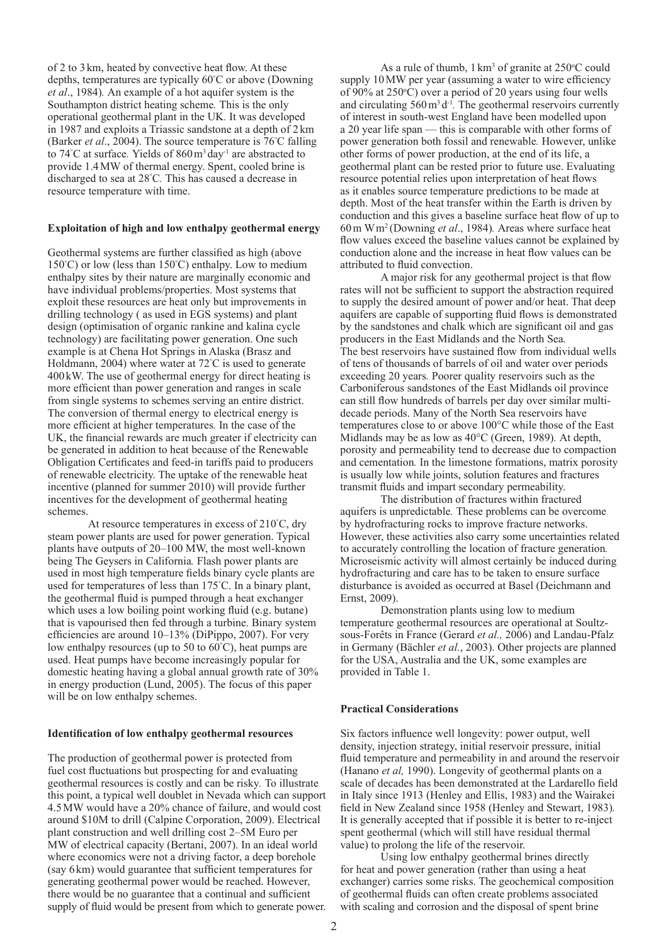of 2 to 3km, heated by convective heat flow. At these depths, temperatures are typically 60° C or above (Downing *et al*., 1984)*.* An example of a hot aquifer system is the Southampton district heating scheme*.* This is the only operational geothermal plant in the UK*.* It was developed in 1987 and exploits a Triassic sandstone at a depth of 2km (Barker *et al*., 2004). The source temperature is 76° C falling to 74° C at surface*.* Yields of 860m3 day-1 are abstracted to provide 1.4MW of thermal energy. Spent, cooled brine is discharged to sea at 28° C*.* This has caused a decrease in resource temperature with time.

#### **Exploitation of high and low enthalpy geothermal energy**

Geothermal systems are further classified as high (above 150° C) or low (less than 150° C) enthalpy. Low to medium enthalpy sites by their nature are marginally economic and have individual problems/properties. Most systems that exploit these resources are heat only but improvements in drilling technology ( as used in EGS systems) and plant design (optimisation of organic rankine and kalina cycle technology) are facilitating power generation. One such example is at Chena Hot Springs in Alaska (Brasz and Holdmann, 2004) where water at 72° C is used to generate 400kW. The use of geothermal energy for direct heating is more efficient than power generation and ranges in scale from single systems to schemes serving an entire district. The conversion of thermal energy to electrical energy is more efficient at higher temperatures*.* In the case of the UK, the financial rewards are much greater if electricity can be generated in addition to heat because of the Renewable Obligation Certificates and feed-in tariffs paid to producers of renewable electricity. The uptake of the renewable heat incentive (planned for summer 2010) will provide further incentives for the development of geothermal heating schemes.

At resource temperatures in excess of 210° C, dry steam power plants are used for power generation. Typical plants have outputs of 20–100 MW, the most well-known being The Geysers in California. Flash power plants are used in most high temperature fields binary cycle plants are used for temperatures of less than 175° C. In a binary plant, the geothermal fluid is pumped through a heat exchanger which uses a low boiling point working fluid (e.g. butane) that is vapourised then fed through a turbine. Binary system efficiencies are around 10–13% (DiPippo, 2007). For very low enthalpy resources (up to 50 to 60° C), heat pumps are used. Heat pumps have become increasingly popular for domestic heating having a global annual growth rate of 30% in energy production (Lund, 2005). The focus of this paper will be on low enthalpy schemes.

#### **Identification of low enthalpy geothermal resources**

The production of geothermal power is protected from fuel cost fluctuations but prospecting for and evaluating geothermal resources is costly and can be risky*.* To illustrate this point, a typical well doublet in Nevada which can support 4.5MW would have a 20% chance of failure, and would cost around \$10M to drill (Calpine Corporation, 2009). Electrical plant construction and well drilling cost 2–5M Euro per MW of electrical capacity (Bertani, 2007). In an ideal world where economics were not a driving factor, a deep borehole (say 6km) would guarantee that sufficient temperatures for generating geothermal power would be reached. However, there would be no guarantee that a continual and sufficient supply of fluid would be present from which to generate power.

As a rule of thumb,  $1 \text{ km}^3$  of granite at  $250^{\circ}$ C could supply 10MW per year (assuming a water to wire efficiency of 90% at  $250^{\circ}$ C) over a period of 20 years using four wells and circulating 560 m<sup>3</sup> d<sup>-1</sup>. The geothermal reservoirs currently of interest in south-west England have been modelled upon a 20 year life span — this is comparable with other forms of power generation both fossil and renewable*.* However, unlike other forms of power production, at the end of its life, a geothermal plant can be rested prior to future use. Evaluating resource potential relies upon interpretation of heat flows as it enables source temperature predictions to be made at depth. Most of the heat transfer within the Earth is driven by conduction and this gives a baseline surface heat flow of up to 60m Wm2 (Downing *et al*., 1984)*.* Areas where surface heat flow values exceed the baseline values cannot be explained by conduction alone and the increase in heat flow values can be attributed to fluid convection.

A major risk for any geothermal project is that flow rates will not be sufficient to support the abstraction required to supply the desired amount of power and/or heat. That deep aquifers are capable of supporting fluid flows is demonstrated by the sandstones and chalk which are significant oil and gas producers in the East Midlands and the North Sea*.*  The best reservoirs have sustained flow from individual wells of tens of thousands of barrels of oil and water over periods exceeding 20 years*.* Poorer quality reservoirs such as the Carboniferous sandstones of the East Midlands oil province can still flow hundreds of barrels per day over similar multidecade periods. Many of the North Sea reservoirs have temperatures close to or above 100°C while those of the East Midlands may be as low as 40°C (Green, 1989)*.* At depth, porosity and permeability tend to decrease due to compaction and cementation*.* In the limestone formations, matrix porosity is usually low while joints, solution features and fractures transmit fluids and impart secondary permeability.

The distribution of fractures within fractured aquifers is unpredictable*.* These problems can be overcome by hydrofracturing rocks to improve fracture networks. However, these activities also carry some uncertainties related to accurately controlling the location of fracture generation*.*  Microseismic activity will almost certainly be induced during hydrofracturing and care has to be taken to ensure surface disturbance is avoided as occurred at Basel (Deichmann and Ernst, 2009).

Demonstration plants using low to medium temperature geothermal resources are operational at Soultzsous-Forêts in France (Gerard *et al.,* 2006) and Landau-Pfalz in Germany (Bächler *et al.*, 2003). Other projects are planned for the USA, Australia and the UK, some examples are provided in Table 1.

## **Practical Considerations**

Six factors influence well longevity: power output, well density, injection strategy, initial reservoir pressure, initial fluid temperature and permeability in and around the reservoir (Hanano *et al,* 1990). Longevity of geothermal plants on a scale of decades has been demonstrated at the Lardarello field in Italy since 1913 (Henley and Ellis, 1983) and the Wairakei field in New Zealand since 1958 (Henley and Stewart, 1983)*.*  It is generally accepted that if possible it is better to re-inject spent geothermal (which will still have residual thermal value) to prolong the life of the reservoir.

Using low enthalpy geothermal brines directly for heat and power generation (rather than using a heat exchanger) carries some risks. The geochemical composition of geothermal fluids can often create problems associated with scaling and corrosion and the disposal of spent brine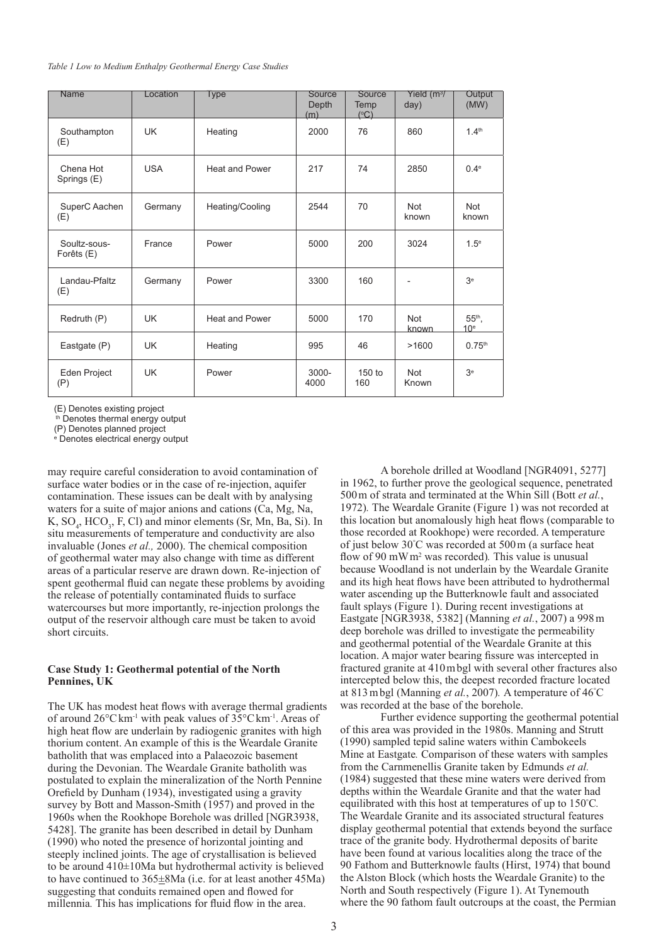| <b>Name</b>                | Location   | Type                  | Source<br>Depth<br>(m) | Source<br>Temp<br>(°C) | Yield $(m^3)$<br>day) | Output<br>(MW)              |
|----------------------------|------------|-----------------------|------------------------|------------------------|-----------------------|-----------------------------|
| Southampton<br>(E)         | <b>UK</b>  | Heating               | 2000                   | 76                     | 860                   | 1.4 <sup>th</sup>           |
| Chena Hot<br>Springs (E)   | <b>USA</b> | <b>Heat and Power</b> | 217                    | 74                     | 2850                  | 0.4 <sup>e</sup>            |
| SuperC Aachen<br>(E)       | Germany    | Heating/Cooling       | 2544                   | 70                     | <b>Not</b><br>known   | <b>Not</b><br>known         |
| Soultz-sous-<br>Forêts (E) | France     | Power                 | 5000                   | 200                    | 3024                  | 1.5 <sup>e</sup>            |
| Landau-Pfaltz<br>(E)       | Germany    | Power                 | 3300                   | 160                    |                       | 3 <sup>e</sup>              |
| Redruth (P)                | UK.        | <b>Heat and Power</b> | 5000                   | 170                    | <b>Not</b><br>known   | $55th$ ,<br>10 <sup>e</sup> |
| Eastgate (P)               | <b>UK</b>  | Heating               | 995                    | 46                     | >1600                 | 0.75 <sup>th</sup>          |
| Eden Project<br>(P)        | <b>UK</b>  | Power                 | $3000 -$<br>4000       | $150$ to<br>160        | <b>Not</b><br>Known   | 3 <sup>e</sup>              |

(E) Denotes existing project

th Denotes thermal energy output

(P) Denotes planned project<br><sup>e</sup> Denotes electrical energy output

may require careful consideration to avoid contamination of surface water bodies or in the case of re-injection, aquifer contamination. These issues can be dealt with by analysing waters for a suite of major anions and cations (Ca, Mg, Na,  $K, SO_4, HCO_3, F, Cl$  and minor elements (Sr, Mn, Ba, Si). In situ measurements of temperature and conductivity are also invaluable (Jones *et al.,* 2000). The chemical composition of geothermal water may also change with time as different areas of a particular reserve are drawn down. Re-injection of spent geothermal fluid can negate these problems by avoiding the release of potentially contaminated fluids to surface watercourses but more importantly, re-injection prolongs the output of the reservoir although care must be taken to avoid short circuits.

### **Case Study 1: Geothermal potential of the North Pennines, UK**

The UK has modest heat flows with average thermal gradients of around 26°Ckm-1 with peak values of 35°Ckm-1. Areas of high heat flow are underlain by radiogenic granites with high thorium content. An example of this is the Weardale Granite batholith that was emplaced into a Palaeozoic basement during the Devonian. The Weardale Granite batholith was postulated to explain the mineralization of the North Pennine Orefield by Dunham (1934), investigated using a gravity survey by Bott and Masson-Smith (1957) and proved in the 1960s when the Rookhope Borehole was drilled [NGR3938, 5428]. The granite has been described in detail by Dunham (1990) who noted the presence of horizontal jointing and steeply inclined joints. The age of crystallisation is believed to be around 410±10Ma but hydrothermal activity is believed to have continued to  $365\pm8$ Ma (i.e. for at least another 45Ma) suggesting that conduits remained open and flowed for millennia*.* This has implications for fluid flow in the area.

A borehole drilled at Woodland [NGR4091, 5277] in 1962, to further prove the geological sequence, penetrated 500m of strata and terminated at the Whin Sill (Bott *et al.*, 1972)*.* The Weardale Granite (Figure 1) was not recorded at this location but anomalously high heat flows (comparable to those recorded at Rookhope) were recorded. A temperature of just below 30° C was recorded at 500m (a surface heat flow of 90  mWm2 was recorded)*.* This value is unusual because Woodland is not underlain by the Weardale Granite and its high heat flows have been attributed to hydrothermal water ascending up the Butterknowle fault and associated fault splays (Figure 1). During recent investigations at Eastgate [NGR3938, 5382] (Manning *et al.*, 2007) a 998m deep borehole was drilled to investigate the permeability and geothermal potential of the Weardale Granite at this location. A major water bearing fissure was intercepted in fractured granite at 410mbgl with several other fractures also intercepted below this, the deepest recorded fracture located at 813mbgl (Manning *et al.*, 2007)*.* A temperature of 46° C was recorded at the base of the borehole.

Further evidence supporting the geothermal potential of this area was provided in the 1980s. Manning and Strutt (1990) sampled tepid saline waters within Cambokeels Mine at Eastgate*.* Comparison of these waters with samples from the Carnmenellis Granite taken by Edmunds *et al.*  (1984) suggested that these mine waters were derived from depths within the Weardale Granite and that the water had equilibrated with this host at temperatures of up to 150° C*.*  The Weardale Granite and its associated structural features display geothermal potential that extends beyond the surface trace of the granite body. Hydrothermal deposits of barite have been found at various localities along the trace of the 90 Fathom and Butterknowle faults (Hirst, 1974) that bound the Alston Block (which hosts the Weardale Granite) to the North and South respectively (Figure 1). At Tynemouth where the 90 fathom fault outcroups at the coast, the Permian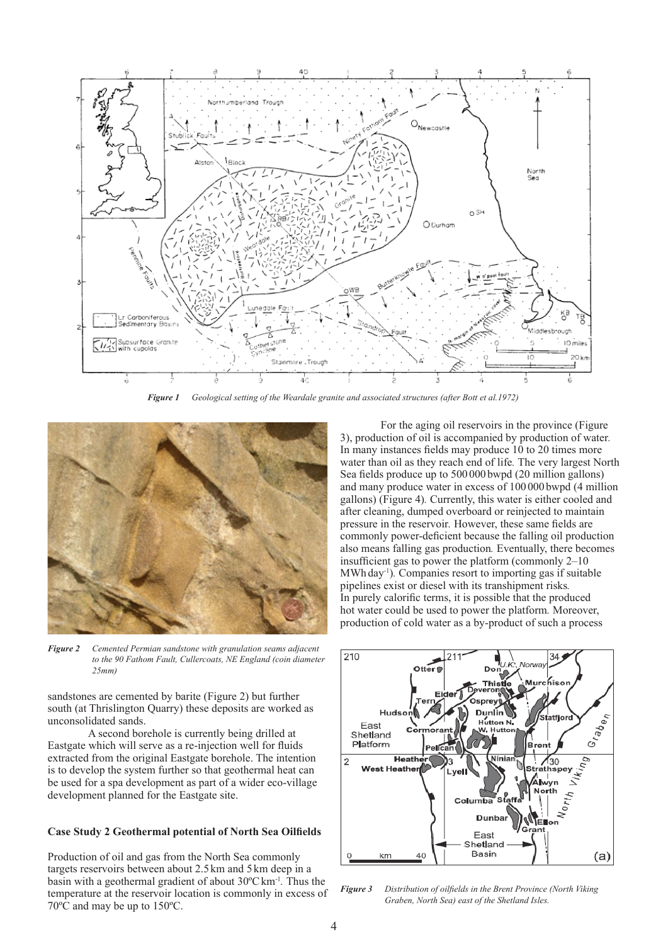

*Figure 1 Geological setting of the Weardale granite and associated structures (after Bott et al.1972)*



*Figure 2 Cemented Permian sandstone with granulation seams adjacent to the 90 Fathom Fault, Cullercoats, NE England (coin diameter 25mm)*

sandstones are cemented by barite (Figure 2) but further south (at Thrislington Quarry) these deposits are worked as unconsolidated sands.

A second borehole is currently being drilled at Eastgate which will serve as a re-injection well for fluids extracted from the original Eastgate borehole. The intention is to develop the system further so that geothermal heat can be used for a spa development as part of a wider eco-village development planned for the Eastgate site.

## **Case Study 2 Geothermal potential of North Sea Oilfields**

Production of oil and gas from the North Sea commonly targets reservoirs between about 2.5km and 5km deep in a basin with a geothermal gradient of about 30ºCkm-1*.* Thus the temperature at the reservoir location is commonly in excess of 70ºC and may be up to 150ºC.

For the aging oil reservoirs in the province (Figure 3), production of oil is accompanied by production of water*.*  In many instances fields may produce 10 to 20 times more water than oil as they reach end of life*.* The very largest North Sea fields produce up to 500000 bwpd (20 million gallons) and many produce water in excess of 100000bwpd (4 million gallons) (Figure 4)*.* Currently, this water is either cooled and after cleaning, dumped overboard or reinjected to maintain pressure in the reservoir*.* However, these same fields are commonly power-deficient because the falling oil production also means falling gas production*.* Eventually, there becomes insufficient gas to power the platform (commonly 2–10 MWh day-1)*.* Companies resort to importing gas if suitable pipelines exist or diesel with its transhipment risks*.*  In purely calorific terms, it is possible that the produced hot water could be used to power the platform*.* Moreover, production of cold water as a by-product of such a process



*Figure 3 Distribution of oilfields in the Brent Province (North Viking Graben, North Sea) east of the Shetland Isles.*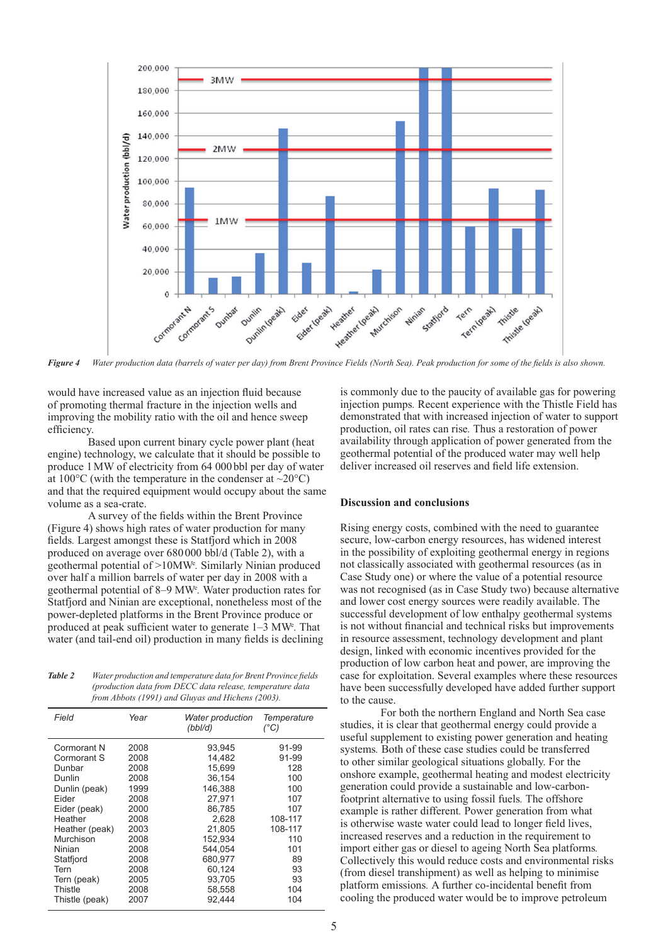

**Figure 4** Water production data (barrels of water per day) from Brent Province Fields (North Sea). Peak production for some of the fields is also shown.

would have increased value as an injection fluid because of promoting thermal fracture in the injection wells and improving the mobility ratio with the oil and hence sweep efficiency.

 Based upon current binary cycle power plant (heat engine) technology, we calculate that it should be possible to produce 1 MW of electricity from 64 000 bbl per day of water at 100 $^{\circ}$ C (with the temperature in the condenser at ~20 $^{\circ}$ C) and that the required equipment would occupy about the same volume as a sea-crate.

A survey of the fields within the Brent Province (Figure 4) shows high rates of water production for many fields. Largest amongst these is Statfjord which in 2008 produced on average over 680 000 bbl/d (Table 2), with a geothermal potential of >10MW<sup>e</sup> *.* Similarly Ninian produced over half a million barrels of water per day in 2008 with a geothermal potential of 8–9 MW<sup>e</sup> *.* Water production rates for Statfjord and Ninian are exceptional, nonetheless most of the power-depleted platforms in the Brent Province produce or produced at peak sufficient water to generate  $1-3$  MW<sup>e</sup>. That water (and tail-end oil) production in many fields is declining

Table 2 Water production and temperature data for Brent Province fields  *(production data from DECC data release, temperature data from Abbots (1991) and Gluyas and Hichens (2003).*

| Field          | Year | <b>Water production</b><br>(bbl/d) | Temperature<br>(°C) |
|----------------|------|------------------------------------|---------------------|
| Cormorant N    | 2008 | 93,945                             | 91-99               |
| Cormorant S    | 2008 | 14.482                             | 91-99               |
| Dunbar         | 2008 | 15.699                             | 128                 |
| Dunlin         | 2008 | 36,154                             | 100                 |
| Dunlin (peak)  | 1999 | 146,388                            | 100                 |
| Eider          | 2008 | 27,971                             | 107                 |
| Eider (peak)   | 2000 | 86.785                             | 107                 |
| Heather        | 2008 | 2,628                              | 108-117             |
| Heather (peak) | 2003 | 21.805                             | 108-117             |
| Murchison      | 2008 | 152,934                            | 110                 |
| Ninian         | 2008 | 544.054                            | 101                 |
| Statfjord      | 2008 | 680.977                            | 89                  |
| Tern           | 2008 | 60,124                             | 93                  |
| Tern (peak)    | 2005 | 93,705                             | 93                  |
| Thistle        | 2008 | 58,558                             | 104                 |
| Thistle (peak) | 2007 | 92,444                             | 104                 |

is commonly due to the paucity of available gas for powering injection pumps*.* Recent experience with the Thistle Field has demonstrated that with increased injection of water to support production, oil rates can rise*.* Thus a restoration of power availability through application of power generated from the geothermal potential of the produced water may well help deliver increased oil reserves and field life extension.

#### **Discussion and conclusions**

Rising energy costs, combined with the need to guarantee secure, low-carbon energy resources, has widened interest in the possibility of exploiting geothermal energy in regions not classically associated with geothermal resources (as in Case Study one) or where the value of a potential resource was not recognised (as in Case Study two) because alternative and lower cost energy sources were readily available. The successful development of low enthalpy geothermal systems is not without financial and technical risks but improvements in resource assessment, technology development and plant design, linked with economic incentives provided for the production of low carbon heat and power, are improving the case for exploitation. Several examples where these resources have been successfully developed have added further support to the cause.

 For both the northern England and North Sea case studies, it is clear that geothermal energy could provide a useful supplement to existing power generation and heating systems*.* Both of these case studies could be transferred to other similar geological situations globally. For the onshore example, geothermal heating and modest electricity generation could provide a sustainable and low-carbonfootprint alternative to using fossil fuels*.* The offshore example is rather different*.* Power generation from what is otherwise waste water could lead to longer field lives, increased reserves and a reduction in the requirement to import either gas or diesel to ageing North Sea platforms*.*  Collectively this would reduce costs and environmental risks (from diesel transhipment) as well as helping to minimise platform emissions. A further co-incidental benefit from cooling the produced water would be to improve petroleum